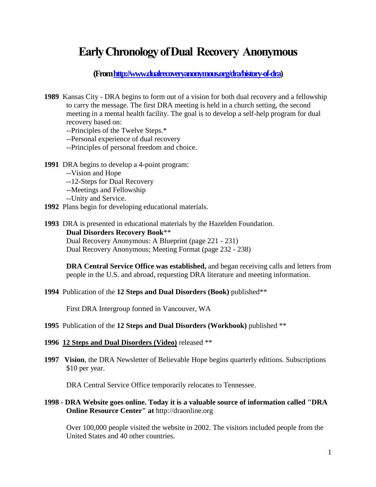## **EarlyChronologyofDual Recovery Anonymous**

## **(Fro[m http://www.dualrecoveryanonymous.org/dra/history-of-dra\)](http://www.dualrecoveryanonymous.org/dra/history-of-dra)**

**1989** Kansas City - DRA begins to form out of a vision for both dual recovery and a fellowship to carry the message. The first DRA meeting is held in a church setting, the second meeting in a mental health facility. The goal is to develop a self-help program for dual recovery based on:

--Principles of the Twelve Steps.\*

- --Personal experience of dual recovery
- --Principles of personal freedom and choice.
- **1991** DRA begins to develop a 4-point program:
	- --Vision and Hope
	- --12-Steps for Dual Recovery
	- --Meetings and Fellowship
	- --Unity and Service.
- **1992** Plans begin for developing educational materials.
- **1993** DRA is presented in educational materials by the Hazelden Foundation. **Dual Disorders Recovery Book**\*\* Dual Recovery Anonymous: A Blueprint (page 221 - 231) Dual Recovery Anonymous; Meeting Format (page 232 - 238)

**DRA Central Service Office was established,** and began receiving calls and letters from people in the U.S. and abroad, requesting DRA literature and meeting information.

**1994** Publication of the **12 Steps and Dual Disorders (Book)** published\*\*

First DRA Intergroup formed in Vancouver, WA

- **1995** Publication of the **12 Steps and Dual Disorders (Workbook)** published \*\*
- **1996 12 Steps and Dual Disorders (Video)** released \*\*
- **1997 Vision**, the DRA Newsletter of Believable Hope begins quarterly editions. Subscriptions \$10 per year.

DRA Central Service Office temporarily relocates to Tennessee.

## **1998 - DRA Website goes online. Today it is a valuable source of information called "DRA Online Resource Center" at** [http://draonline.org](http://draonline.org/)

Over 100,000 people visited the website in 2002. The visitors included people from the United States and 40 other countries.